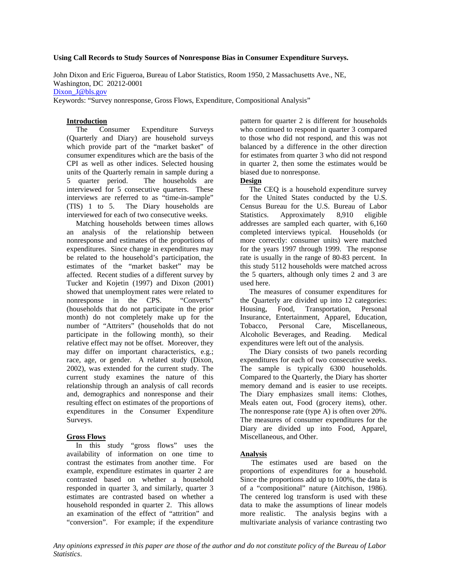### **Using Call Records to Study Sources of Nonresponse Bias in Consumer Expenditure Surveys.**

John Dixon and Eric Figueroa, Bureau of Labor Statistics, Room 1950, 2 Massachusetts Ave., NE, Washington, DC 20212-0001

Dixon J@bls.gov

Keywords: "Survey nonresponse, Gross Flows, Expenditure, Compositional Analysis"

### **Introduction**

 The Consumer Expenditure Surveys (Quarterly and Diary) are household surveys which provide part of the "market basket" of consumer expenditures which are the basis of the CPI as well as other indices. Selected housing units of the Quarterly remain in sample during a 5 quarter period. The households are interviewed for 5 consecutive quarters. These interviews are referred to as "time-in-sample" (TIS) 1 to 5. The Diary households are interviewed for each of two consecutive weeks.

 Matching households between times allows an analysis of the relationship between nonresponse and estimates of the proportions of expenditures. Since change in expenditures may be related to the household's participation, the estimates of the "market basket" may be affected. Recent studies of a different survey by Tucker and Kojetin (1997) and Dixon (2001) showed that unemployment rates were related to nonresponse in the CPS. "Converts" (households that do not participate in the prior month) do not completely make up for the number of "Attriters" (households that do not participate in the following month), so their relative effect may not be offset. Moreover, they may differ on important characteristics, e.g.; race, age, or gender. A related study (Dixon, 2002), was extended for the current study. The current study examines the nature of this relationship through an analysis of call records and, demographics and nonresponse and their resulting effect on estimates of the proportions of expenditures in the Consumer Expenditure Surveys.

### **Gross Flows**

 In this study "gross flows" uses the availability of information on one time to contrast the estimates from another time. For example, expenditure estimates in quarter 2 are contrasted based on whether a household responded in quarter 3, and similarly, quarter 3 estimates are contrasted based on whether a household responded in quarter 2. This allows an examination of the effect of "attrition" and "conversion". For example; if the expenditure

pattern for quarter 2 is different for households who continued to respond in quarter 3 compared to those who did not respond, and this was not balanced by a difference in the other direction for estimates from quarter 3 who did not respond in quarter 2, then some the estimates would be biased due to nonresponse.

### **Design**

 The CEQ is a household expenditure survey for the United States conducted by the U.S. Census Bureau for the U.S. Bureau of Labor Statistics. Approximately 8,910 eligible addresses are sampled each quarter, with 6,160 completed interviews typical. Households (or more correctly: consumer units) were matched for the years 1997 through 1999. The response rate is usually in the range of 80-83 percent. In this study 5112 households were matched across the 5 quarters, although only times 2 and 3 are used here.

 The measures of consumer expenditures for the Quarterly are divided up into 12 categories: Housing, Food, Transportation, Personal Insurance, Entertainment, Apparel, Education, Tobacco, Personal Care, Miscellaneous, Alcoholic Beverages, and Reading. Medical expenditures were left out of the analysis.

 The Diary consists of two panels recording expenditures for each of two consecutive weeks. The sample is typically 6300 households. Compared to the Quarterly, the Diary has shorter memory demand and is easier to use receipts. The Diary emphasizes small items: Clothes, Meals eaten out, Food (grocery items), other. The nonresponse rate (type A) is often over 20%. The measures of consumer expenditures for the Diary are divided up into Food, Apparel, Miscellaneous, and Other.

### **Analysis**

 The estimates used are based on the proportions of expenditures for a household. Since the proportions add up to 100%, the data is of a "compositional" nature (Aitchison, 1986). The centered log transform is used with these data to make the assumptions of linear models more realistic. The analysis begins with a multivariate analysis of variance contrasting two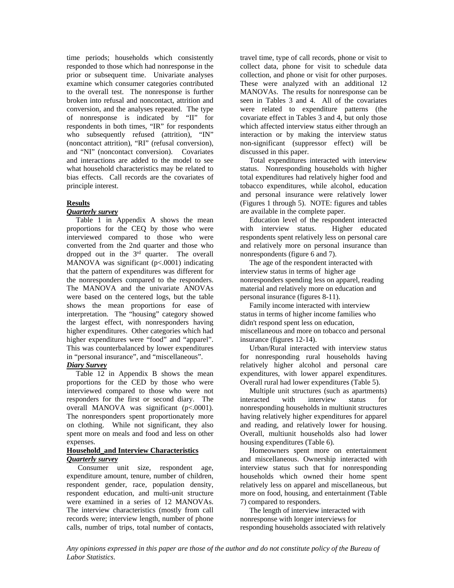time periods; households which consistently responded to those which had nonresponse in the prior or subsequent time. Univariate analyses examine which consumer categories contributed to the overall test. The nonresponse is further broken into refusal and noncontact, attrition and conversion, and the analyses repeated. The type of nonresponse is indicated by "II" for respondents in both times, "IR" for respondents who subsequently refused (attrition), "IN" (noncontact attrition), "RI" (refusal conversion), and "NI" (noncontact conversion). Covariates and interactions are added to the model to see what household characteristics may be related to bias effects. Call records are the covariates of principle interest.

## **Results**

## *Quarterly survey*

 Table 1 in Appendix A shows the mean proportions for the CEQ by those who were interviewed compared to those who were converted from the 2nd quarter and those who dropped out in the  $3<sup>rd</sup>$  quarter. The overall MANOVA was significant  $(p<.0001)$  indicating that the pattern of expenditures was different for the nonresponders compared to the responders. The MANOVA and the univariate ANOVAs were based on the centered logs, but the table shows the mean proportions for ease of interpretation. The "housing" category showed the largest effect, with nonresponders having higher expenditures. Other categories which had higher expenditures were "food" and "apparel". This was counterbalanced by lower expenditures in "personal insurance", and "miscellaneous".

## *Diary Survey*

 Table 12 in Appendix B shows the mean proportions for the CED by those who were interviewed compared to those who were not responders for the first or second diary. The overall MANOVA was significant (p<.0001). The nonresponders spent proportionately more on clothing. While not significant, they also spent more on meals and food and less on other expenses.

### **Household\_and Interview Characteristics** *Quarterly survey*

 Consumer unit size, respondent age, expenditure amount, tenure, number of children, respondent gender, race, population density, respondent education, and multi-unit structure were examined in a series of 12 MANOVAs. The interview characteristics (mostly from call records were; interview length, number of phone calls, number of trips, total number of contacts,

travel time, type of call records, phone or visit to collect data, phone for visit to schedule data collection, and phone or visit for other purposes. These were analyzed with an additional 12 MANOVAs. The results for nonresponse can be seen in Tables 3 and 4. All of the covariates were related to expenditure patterns (the covariate effect in Tables 3 and 4, but only those which affected interview status either through an interaction or by making the interview status non-significant (suppressor effect) will be discussed in this paper.

 Total expenditures interacted with interview status. Nonresponding households with higher total expenditures had relatively higher food and tobacco expenditures, while alcohol, education and personal insurance were relatively lower (Figures 1 through 5). NOTE: figures and tables are available in the complete paper.

 Education level of the respondent interacted with interview status. Higher educated respondents spent relatively less on personal care and relatively more on personal insurance than nonrespondents (figure 6 and 7).

 The age of the respondent interacted with interview status in terms of higher age nonresponders spending less on apparel, reading material and relatively more on education and personal insurance (figures 8-11).

 Family income interacted with interview status in terms of higher income families who didn't respond spent less on education, miscellaneous and more on tobacco and personal insurance (figures 12-14).

 Urban/Rural interacted with interview status for nonresponding rural households having relatively higher alcohol and personal care expenditures, with lower apparel expenditures. Overall rural had lower expenditures (Table 5).

 Multiple unit structures (such as apartments) interacted with interview status for nonresponding households in multiunit structures having relatively higher expenditures for apparel and reading, and relatively lower for housing. Overall, multiunit households also had lower housing expenditures (Table 6).

 Homeowners spent more on entertainment and miscellaneous. Ownership interacted with interview status such that for nonresponding households which owned their home spent relatively less on apparel and miscellaneous, but more on food, housing, and entertainment (Table 7) compared to responders.

 The length of interview interacted with nonresponse with longer interviews for responding households associated with relatively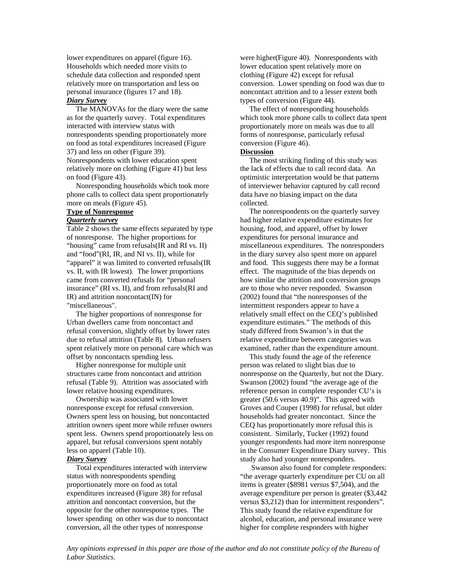lower expenditures on apparel (figure 16). Households which needed more visits to schedule data collection and responded spent relatively more on transportation and less on personal insurance (figures 17 and 18). *Diary Survey*

## The MANOVAs for the diary were the same as for the quarterly survey. Total expenditures interacted with interview status with nonrespondents spending proportionately more on food as total expenditures increased (Figure 37) and less on other (Figure 39). Nonrespondents with lower education spent

relatively more on clothing (Figure 41) but less on food (Figure 43).

 Nonresponding households which took more phone calls to collect data spent proportionately more on meals (Figure 45).

## **Type of Nonresponse**

## *Quarterly survey*

Table 2 shows the same effects separated by type of nonresponse. The higher proportions for "housing" came from refusals(IR and RI vs. II) and "food"(RI, IR, and NI vs. II), while for "apparel" it was limited to converted refusals(IR vs. II, with IR lowest). The lower proportions came from converted refusals for "personal insurance" (RI vs. II), and from refusals(RI and IR) and attrition noncontact(IN) for "miscellaneous".

 The higher proportions of nonresponse for Urban dwellers came from noncontact and refusal conversion, slightly offset by lower rates due to refusal attrition (Table 8). Urban refusers spent relatively more on personal care which was offset by noncontacts spending less.

 Higher nonresponse for multiple unit structures came from noncontact and attrition refusal (Table 9). Attrition was associated with lower relative housing expenditures.

 Ownership was associated with lower nonresponse except for refusal conversion. Owners spent less on housing, but noncontacted attrition owners spent more while refuser owners spent less. Owners spend proportionately less on apparel, but refusal conversions spent notably less on apparel (Table 10).

#### *Diary Survey*

 Total expenditures interacted with interview status with nonrespondents spending proportionately more on food as total expenditures increased (Figure 38) for refusal attrition and noncontact conversion, but the opposite for the other nonresponse types. The lower spending on other was due to noncontact conversion, all the other types of nonresponse

were higher(Figure 40). Nonrespondents with lower education spent relatively more on clothing (Figure 42) except for refusal conversion. Lower spending on food was due to noncontact attrition and to a lesser extent both types of conversion (Figure 44).

 The effect of nonresponding households which took more phone calls to collect data spent proportionately more on meals was due to all forms of nonresponse, particularly refusal conversion (Figure 46).

## **Discussion**

 The most striking finding of this study was the lack of effects due to call record data. An optimistic interpretation would be that patterns of interviewer behavior captured by call record data have no biasing impact on the data collected.

 The nonrespondents on the quarterly survey had higher relative expenditure estimates for housing, food, and apparel, offset by lower expenditures for personal insurance and miscellaneous expenditures. The nonresponders in the diary survey also spent more on apparel and food. This suggests there may be a format effect. The magnitude of the bias depends on how similar the attrition and conversion groups are to those who never responded. Swanson (2002) found that "the nonresponses of the intermittent responders appear to have a relatively small effect on the CEQ's published expenditure estimates." The methods of this study differed from Swanson's in that the relative expenditure between categories was examined, rather than the expenditure amount.

 This study found the age of the reference person was related to slight bias due to nonresponse on the Quarterly, but not the Diary. Swanson (2002) found "the average age of the reference person in complete responder CU's is greater (50.6 versus 40.9)". This agreed with Groves and Couper (1998) for refusal, but older households had greater noncontact. Since the CEQ has proportionately more refusal this is consistent. Similarly, Tucker (1992) found younger respondents had more item nonresponse in the Consumer Expenditure Diary survey. This study also had younger nonresponders.

 Swanson also found for complete responders: "the average quarterly expenditure per CU on all items is greater (\$8981 versus \$7,504), and the average expenditure per person is greater (\$3,442 versus \$3,212) than for intermittent responders". This study found the relative expenditure for alcohol, education, and personal insurance were higher for complete responders with higher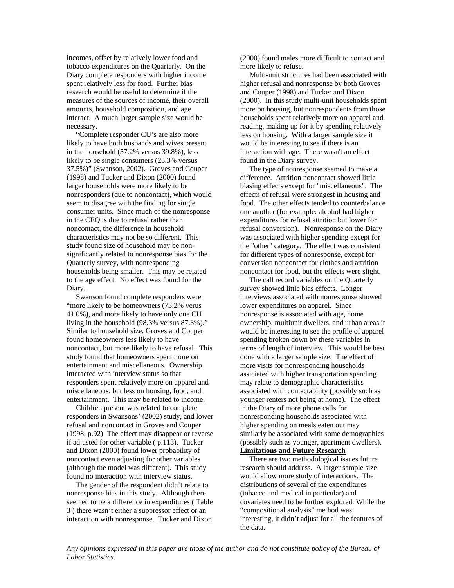incomes, offset by relatively lower food and tobacco expenditures on the Quarterly. On the Diary complete responders with higher income spent relatively less for food. Further bias research would be useful to determine if the measures of the sources of income, their overall amounts, household composition, and age interact. A much larger sample size would be necessary.

 "Complete responder CU's are also more likely to have both husbands and wives present in the household (57.2% versus 39.8%), less likely to be single consumers (25.3% versus 37.5%)" (Swanson, 2002). Groves and Couper (1998) and Tucker and Dixon (2000) found larger households were more likely to be nonresponders (due to noncontact), which would seem to disagree with the finding for single consumer units. Since much of the nonresponse in the CEQ is due to refusal rather than noncontact, the difference in household characteristics may not be so different. This study found size of household may be nonsignificantly related to nonresponse bias for the Quarterly survey, with nonresponding households being smaller. This may be related to the age effect. No effect was found for the Diary.

 Swanson found complete responders were "more likely to be homeowners (73.2% verus 41.0%), and more likely to have only one CU living in the household (98.3% versus 87.3%)." Similar to household size, Groves and Couper found homeowners less likely to have noncontact, but more likely to have refusal. This study found that homeowners spent more on entertainment and miscellaneous. Ownership interacted with interview status so that responders spent relatively more on apparel and miscellaneous, but less on housing, food, and entertainment. This may be related to income.

 Children present was related to complete responders in Swansons' (2002) study, and lower refusal and noncontact in Groves and Couper (1998, p.92) The effect may disappear or reverse if adjusted for other variable ( p.113). Tucker and Dixon (2000) found lower probability of noncontact even adjusting for other variables (although the model was different). This study found no interaction with interview status.

 The gender of the respondent didn't relate to nonresponse bias in this study. Although there seemed to be a difference in expenditures ( Table 3 ) there wasn't either a suppressor effect or an interaction with nonresponse. Tucker and Dixon

(2000) found males more difficult to contact and more likely to refuse.

 Multi-unit structures had been associated with higher refusal and nonresponse by both Groves and Couper (1998) and Tucker and Dixon (2000). In this study multi-unit households spent more on housing, but nonrespondents from those households spent relatively more on apparel and reading, making up for it by spending relatively less on housing. With a larger sample size it would be interesting to see if there is an interaction with age. There wasn't an effect found in the Diary survey.

 The type of nonresponse seemed to make a difference. Attrition noncontact showed little biasing effects except for "miscellaneous". The effects of refusal were strongest in housing and food. The other effects tended to counterbalance one another (for example: alcohol had higher expenditures for refusal attrition but lower for refusal conversion). Nonresponse on the Diary was associated with higher spending except for the "other" category. The effect was consistent for different types of nonresponse, except for conversion noncontact for clothes and attrition noncontact for food, but the effects were slight.

 The call record variables on the Quarterly survey showed little bias effects. Longer interviews associated with nonresponse showed lower expenditures on apparel. Since nonresponse is associated with age, home ownership, multiunit dwellers, and urban areas it would be interesting to see the profile of apparel spending broken down by these variables in terms of length of interview. This would be best done with a larger sample size. The effect of more visits for nonresponding households assiciated with higher transportation spending may relate to demographic characteristics associated with contactability (possibly such as younger renters not being at home). The effect in the Diary of more phone calls for nonresponding households associated with higher spending on meals eaten out may similarly be associated with some demographics (possibly such as younger, apartment dwellers). **Limitations and Future Research**

There are two methodological issues future

research should address. A larger sample size would allow more study of interactions. The distributions of several of the expenditures (tobacco and medical in particular) and covariates need to be further explored. While the "compositional analysis" method was interesting, it didn't adjust for all the features of the data.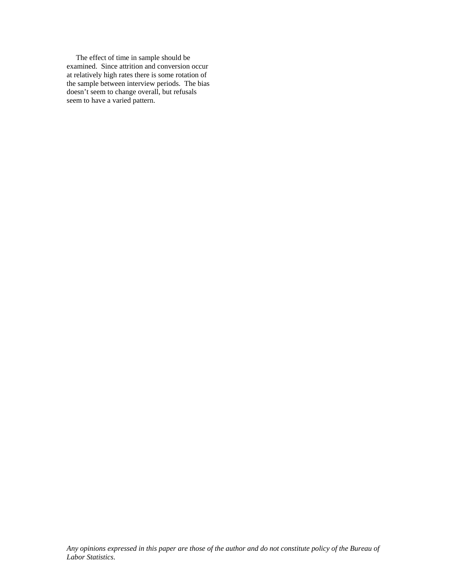The effect of time in sample should be examined. Since attrition and conversion occur at relatively high rates there is some rotation of the sample between interview periods. The bias doesn't seem to change overall, but refusals seem to have a varied pattern.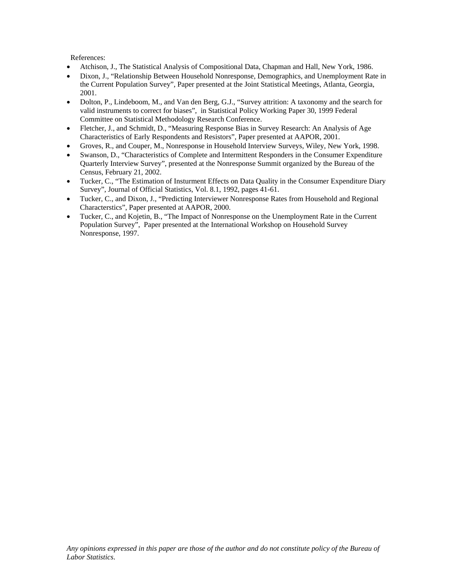References:

- Atchison, J., The Statistical Analysis of Compositional Data, Chapman and Hall, New York, 1986.
- Dixon, J., "Relationship Between Household Nonresponse, Demographics, and Unemployment Rate in the Current Population Survey", Paper presented at the Joint Statistical Meetings, Atlanta, Georgia, 2001.
- Dolton, P., Lindeboom, M., and Van den Berg, G.J., "Survey attrition: A taxonomy and the search for valid instruments to correct for biases", in Statistical Policy Working Paper 30, 1999 Federal Committee on Statistical Methodology Research Conference.
- Fletcher, J., and Schmidt, D., "Measuring Response Bias in Survey Research: An Analysis of Age Characteristics of Early Respondents and Resistors", Paper presented at AAPOR, 2001.
- Groves, R., and Couper, M., Nonresponse in Household Interview Surveys, Wiley, New York, 1998.
- Swanson, D., "Characteristics of Complete and Intermittent Responders in the Consumer Expenditure Quarterly Interview Survey", presented at the Nonresponse Summit organized by the Bureau of the Census, February 21, 2002.
- Tucker, C., "The Estimation of Insturment Effects on Data Quality in the Consumer Expenditure Diary Survey", Journal of Official Statistics, Vol. 8.1, 1992, pages 41-61.
- Tucker, C., and Dixon, J., "Predicting Interviewer Nonresponse Rates from Household and Regional Characterstics", Paper presented at AAPOR, 2000.
- Tucker, C., and Kojetin, B., "The Impact of Nonresponse on the Unemployment Rate in the Current Population Survey", Paper presented at the International Workshop on Household Survey Nonresponse, 1997.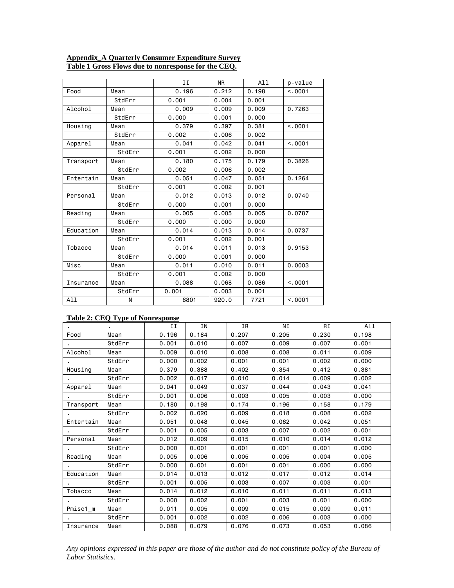### **Appendix\_A Quarterly Consumer Expenditure Survey Table 1 Gross Flows due to nonresponse for the CEQ.**

|           |        | II    | <b>NR</b> | A11   | p-value |
|-----------|--------|-------|-----------|-------|---------|
| Food      | Mean   | 0.196 | 0.212     | 0.198 | < 0.001 |
|           | StdErr | 0.001 | 0.004     | 0.001 |         |
| Alcohol   | Mean   | 0.009 | 0.009     | 0.009 | 0.7263  |
|           | StdErr | 0.000 | 0.001     | 0.000 |         |
| Housing   | Mean   | 0.379 | 0.397     | 0.381 | < 0.001 |
|           | StdErr | 0.002 | 0.006     | 0.002 |         |
| Apparel   | Mean   | 0.041 | 0.042     | 0.041 | < .0001 |
|           | StdErr | 0.001 | 0.002     | 0.000 |         |
| Transport | Mean   | 0.180 | 0.175     | 0.179 | 0.3826  |
|           | StdErr | 0.002 | 0.006     | 0.002 |         |
| Entertain | Mean   | 0.051 | 0.047     | 0.051 | 0.1264  |
|           | StdErr | 0.001 | 0.002     | 0.001 |         |
| Personal  | Mean   | 0.012 | 0.013     | 0.012 | 0.0740  |
|           | StdErr | 0.000 | 0.001     | 0.000 |         |
| Reading   | Mean   | 0.005 | 0.005     | 0.005 | 0.0787  |
|           | StdErr | 0.000 | 0.000     | 0.000 |         |
| Education | Mean   | 0.014 | 0.013     | 0.014 | 0.0737  |
|           | StdErr | 0.001 | 0.002     | 0.001 |         |
| Tobacco   | Mean   | 0.014 | 0.011     | 0.013 | 0.9153  |
|           | StdErr | 0.000 | 0.001     | 0.000 |         |
| Misc      | Mean   | 0.011 | 0.010     | 0.011 | 0.0003  |
|           | StdErr | 0.001 | 0.002     | 0.000 |         |
| Insurance | Mean   | 0.088 | 0.068     | 0.086 | < 0.001 |
|           | StdErr | 0.001 | 0.003     | 0.001 |         |
| A11       | Ν      | 6801  | 920.0     | 7721  | < 0.001 |

# **Table 2: CEQ Type of Nonresponse**

|           |        | H     | ΙN    | <b>IR</b> | ΝI    | RI    | A11   |
|-----------|--------|-------|-------|-----------|-------|-------|-------|
| Food      | Mean   | 0.196 | 0.184 | 0.207     | 0.205 | 0.230 | 0.198 |
|           | StdErr | 0.001 | 0.010 | 0.007     | 0.009 | 0.007 | 0.001 |
| Alcohol   | Mean   | 0.009 | 0.010 | 0.008     | 0.008 | 0.011 | 0.009 |
|           | StdErr | 0.000 | 0.002 | 0.001     | 0.001 | 0.002 | 0.000 |
| Housing   | Mean   | 0.379 | 0.388 | 0.402     | 0.354 | 0.412 | 0.381 |
|           | StdErr | 0.002 | 0.017 | 0.010     | 0.014 | 0.009 | 0.002 |
| Apparel   | Mean   | 0.041 | 0.049 | 0.037     | 0.044 | 0.043 | 0.041 |
|           | StdErr | 0.001 | 0.006 | 0.003     | 0.005 | 0.003 | 0.000 |
| Transport | Mean   | 0.180 | 0.198 | 0.174     | 0.196 | 0.158 | 0.179 |
|           | StdErr | 0.002 | 0.020 | 0.009     | 0.018 | 0.008 | 0.002 |
| Entertain | Mean   | 0.051 | 0.048 | 0.045     | 0.062 | 0.042 | 0.051 |
|           | StdErr | 0.001 | 0.005 | 0.003     | 0.007 | 0.002 | 0.001 |
| Personal  | Mean   | 0.012 | 0.009 | 0.015     | 0.010 | 0.014 | 0.012 |
|           | StdErr | 0.000 | 0.001 | 0.001     | 0.001 | 0.001 | 0.000 |
| Reading   | Mean   | 0.005 | 0.006 | 0.005     | 0.005 | 0.004 | 0.005 |
|           | StdErr | 0.000 | 0.001 | 0.001     | 0.001 | 0,000 | 0.000 |
| Education | Mean   | 0.014 | 0.013 | 0.012     | 0.017 | 0.012 | 0.014 |
|           | StdErr | 0.001 | 0.005 | 0.003     | 0.007 | 0.003 | 0.001 |
| Tobacco   | Mean   | 0.014 | 0.012 | 0.010     | 0.011 | 0.011 | 0.013 |
|           | StdErr | 0.000 | 0.002 | 0.001     | 0.003 | 0.001 | 0.000 |
| Pmisc1 m  | Mean   | 0.011 | 0.005 | 0.009     | 0.015 | 0.009 | 0.011 |
|           | StdErr | 0.001 | 0.002 | 0.002     | 0.006 | 0.003 | 0.000 |
| Insurance | Mean   | 0.088 | 0.079 | 0.076     | 0.073 | 0.053 | 0.086 |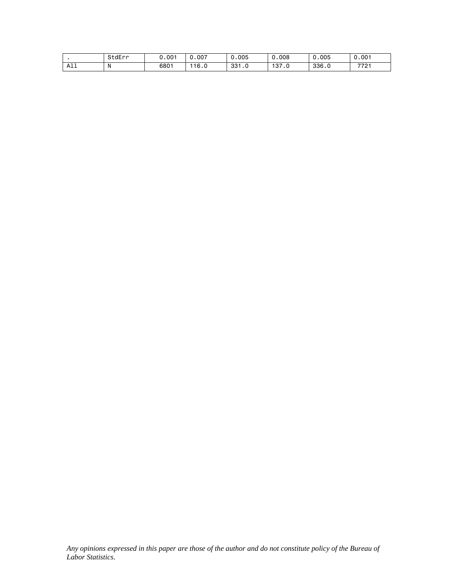|                 | StdErr          | .001 | .007 | 0.005          | 0.008        | 0.005<br>$\sim$ | 0.001 |
|-----------------|-----------------|------|------|----------------|--------------|-----------------|-------|
| .<br><b>ALL</b> | <b>N</b><br>. . | 6801 | 16.0 | 001<br>ں . ادد | 127<br>ں ، ر | 336.0           | 7721  |